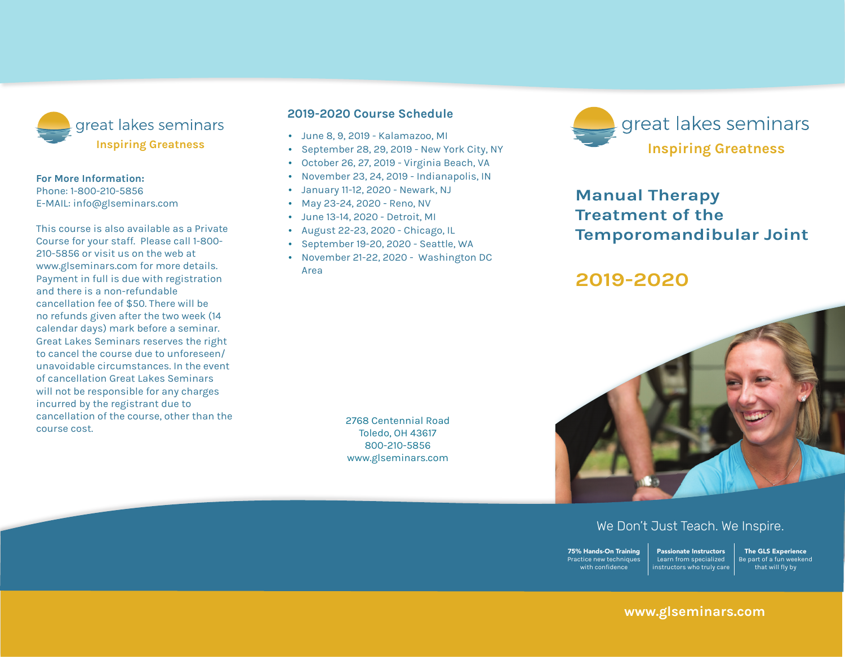

#### **For More Information:**

Phone: 1-800-210-5856 E-mail: info@glseminars.com

Payment in full is due with registration and there is a non-refundable cancellation fee of \$50. There will be no refunds given within two weeks (14 calendar days) of the seminar. Great Lakes Seminars reserves the right to cancel the course due to unforeseen/ unavoidable circumstances. In the event of a cancellation Great Lakes Seminars will not be responsible for any charges incurred by the registrant other than the course cost.

This course is also available as a private course for your staff. Please call 800-210-5856 or visit us on the web at www.glseminars.com for more details.

#### **2022 Course Schedule**

- March 5-6, 2022 Geneva, IL
- June 4-5, 2022 Detroit, MI
- October 1-2, 2022 Moorestown, PA
- November 12-13, 2022 Seattle, WA

Please check our website for the most updated schedule: www.glseminars.com



# **Manual Therapy Treatment of the Temporomandibular Joint**

# **2022**



## We Don't Just Teach. We Inspire.

75% Hands-On Training Practice new techniques with confidence Passionate Instructors Learn from specialized instructors who truly care

The GLS Experience Be part of a fun weekend that will fly by

## **www.glseminars.com**